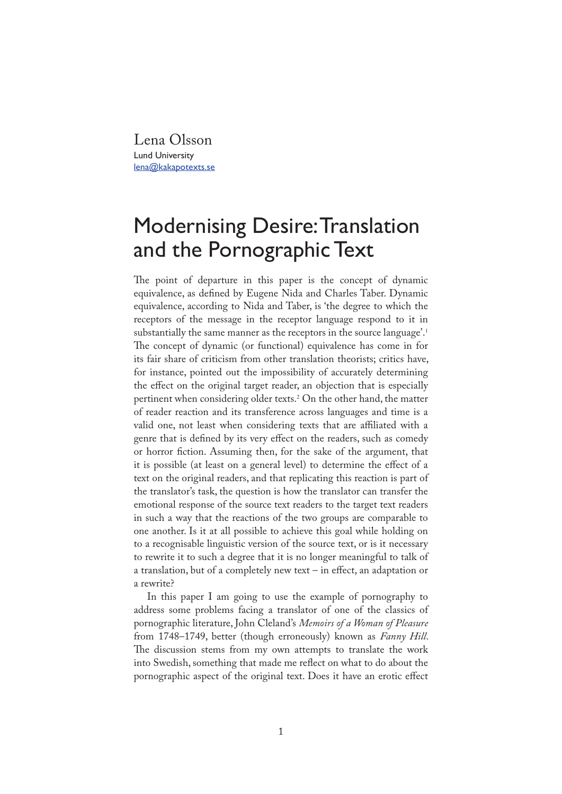Lena Olsson Lund University lena@kakapotexts.se

# Modernising Desire: Translation and the Pornographic Text

The point of departure in this paper is the concept of dynamic equivalence, as defined by Eugene Nida and Charles Taber. Dynamic equivalence, according to Nida and Taber, is 'the degree to which the receptors of the message in the receptor language respond to it in substantially the same manner as the receptors in the source language'.<sup>1</sup> The concept of dynamic (or functional) equivalence has come in for its fair share of criticism from other translation theorists; critics have, for instance, pointed out the impossibility of accurately determining the effect on the original target reader, an objection that is especially pertinent when considering older texts.<sup>2</sup> On the other hand, the matter of reader reaction and its transference across languages and time is a valid one, not least when considering texts that are affiliated with a genre that is defined by its very effect on the readers, such as comedy or horror �ction. Assuming then, for the sake of the argument, that it is possible (at least on a general level) to determine the effect of a text on the original readers, and that replicating this reaction is part of the translator's task, the question is how the translator can transfer the emotional response of the source text readers to the target text readers in such a way that the reactions of the two groups are comparable to one another. Is it at all possible to achieve this goal while holding on to a recognisable linguistic version of the source text, or is it necessary to rewrite it to such a degree that it is no longer meaningful to talk of a translation, but of a completely new text – in effect, an adaptation or a rewrite?

In this paper I am going to use the example of pornography to address some problems facing a translator of one of the classics of pornographic literature, John Cleland's *Memoirs of a Woman of Pleasure* from 1748–1749, better (though erroneously) known as *Fanny Hill*. The discussion stems from my own attempts to translate the work into Swedish, something that made me reflect on what to do about the pornographic aspect of the original text. Does it have an erotic effect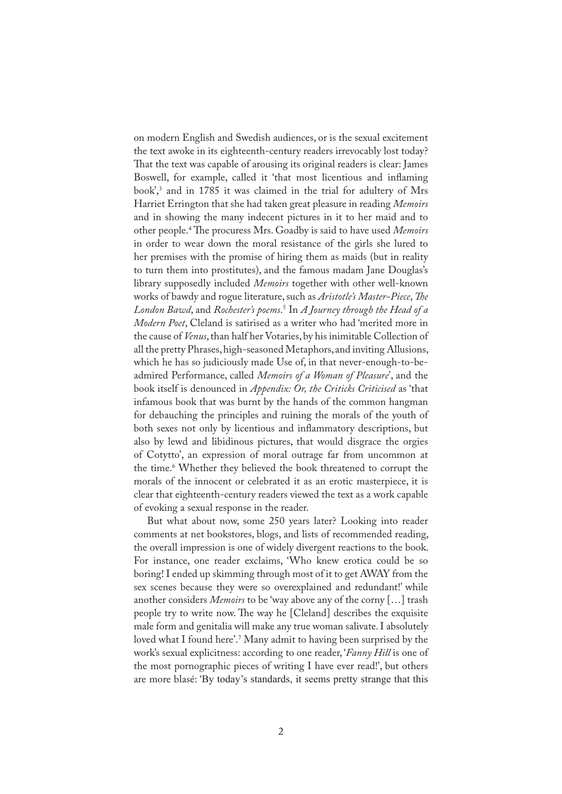on modern English and Swedish audiences, or is the sexual excitement the text awoke in its eighteenth-century readers irrevocably lost today? That the text was capable of arousing its original readers is clear: James Boswell, for example, called it 'that most licentious and inflaming book',<sup>3</sup> and in 1785 it was claimed in the trial for adultery of Mrs Harriet Errington that she had taken great pleasure in reading *Memoirs* and in showing the many indecent pictures in it to her maid and to other people.<sup>4</sup> �e procuress Mrs. Goadby is said to have used *Memoirs* in order to wear down the moral resistance of the girls she lured to her premises with the promise of hiring them as maids (but in reality to turn them into prostitutes), and the famous madam Jane Douglas's library supposedly included *Memoirs* together with other well-known works of bawdy and rogue literature, such as *Aristotle's Master-Piece*, *�e London Bawd*, and *Rochester's poems*. 5 In *A Journey through the Head of a Modern Poet*, Cleland is satirised as a writer who had 'merited more in the cause of *Venus*, than half her Votaries, by his inimitable Collection of all the pretty Phrases, high-seasoned Metaphors, and inviting Allusions, which he has so judiciously made Use of, in that never-enough-to-beadmired Performance, called *Memoirs of a Woman of Pleasure*', and the book itself is denounced in *Appendix: Or, the Criticks Criticised* as 'that infamous book that was burnt by the hands of the common hangman for debauching the principles and ruining the morals of the youth of both sexes not only by licentious and in�ammatory descriptions, but also by lewd and libidinous pictures, that would disgrace the orgies of Cotytto', an expression of moral outrage far from uncommon at the time.<sup>6</sup> Whether they believed the book threatened to corrupt the morals of the innocent or celebrated it as an erotic masterpiece, it is clear that eighteenth-century readers viewed the text as a work capable of evoking a sexual response in the reader.

But what about now, some 250 years later? Looking into reader comments at net bookstores, blogs, and lists of recommended reading, the overall impression is one of widely divergent reactions to the book. For instance, one reader exclaims, 'Who knew erotica could be so boring! I ended up skimming through most of it to get AWAY from the sex scenes because they were so overexplained and redundant!' while another considers *Memoirs* to be 'way above any of the corny […] trash people try to write now. The way he [Cleland] describes the exquisite male form and genitalia will make any true woman salivate. I absolutely loved what I found here'.<sup>7</sup> Many admit to having been surprised by the work's sexual explicitness: according to one reader, '*Fanny Hill* is one of the most pornographic pieces of writing I have ever read!', but others are more blasé: 'By today's standards, it seems pretty strange that this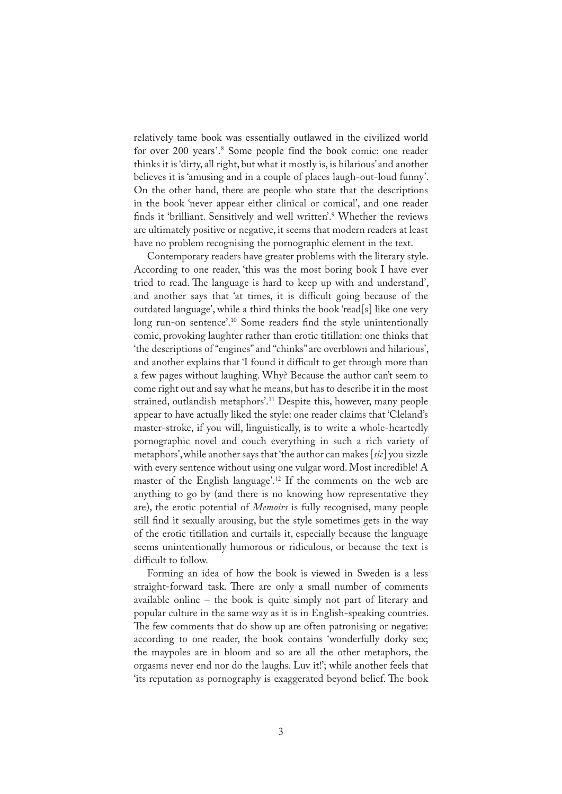relatively tame book was essentially outlawed in the civilized world for over 200 years'.8 Some people find the book comic: one reader thinks it is 'dirty, all right, but what it mostly is, is hilarious' and another believes it is 'amusing and in a couple of places laugh-out-loud funny'. On the other hand, there are people who state that the descriptions in the book 'never appear either clinical or comical', and one reader finds it 'brilliant. Sensitively and well written'.<sup>9</sup> Whether the reviews are ultimately positive or negative, it seems that modern readers at least have no problem recognising the pornographic element in the text.

Contemporary readers have greater problems with the literary style. According to one reader, 'this was the most boring book I have ever tried to read. The language is hard to keep up with and understand', and another says that 'at times, it is difficult going because of the outdated language', while a third thinks the book 'read[s] like one very long run-on sentence'.<sup>10</sup> Some readers find the style unintentionally comic, provoking laughter rather than erotic titillation: one thinks that 'the descriptions of "engines" and "chinks" are overblown and hilarious', and another explains that 'I found it difficult to get through more than a few pages without laughing. Why? Because the author can't seem to come right out and say what he means, but has to describe it in the most strained, outlandish metaphors'.11 Despite this, however, many people appear to have actually liked the style: one reader claims that 'Cleland's master-stroke, if you will, linguistically, is to write a whole-heartedly pornographic novel and couch everything in such a rich variety of metaphors', while another says that 'the author can makes [*sic*] you sizzle with every sentence without using one vulgar word. Most incredible! A master of the English language'.<sup>12</sup> If the comments on the web are anything to go by (and there is no knowing how representative they are), the erotic potential of *Memoirs* is fully recognised, many people still find it sexually arousing, but the style sometimes gets in the way of the erotic titillation and curtails it, especially because the language seems unintentionally humorous or ridiculous, or because the text is difficult to follow.

Forming an idea of how the book is viewed in Sweden is a less straight-forward task. There are only a small number of comments available online – the book is quite simply not part of literary and popular culture in the same way as it is in English-speaking countries. The few comments that do show up are often patronising or negative: according to one reader, the book contains 'wonderfully dorky sex; the maypoles are in bloom and so are all the other metaphors, the orgasms never end nor do the laughs. Luv it!'; while another feels that 'its reputation as pornography is exaggerated beyond belief. �e book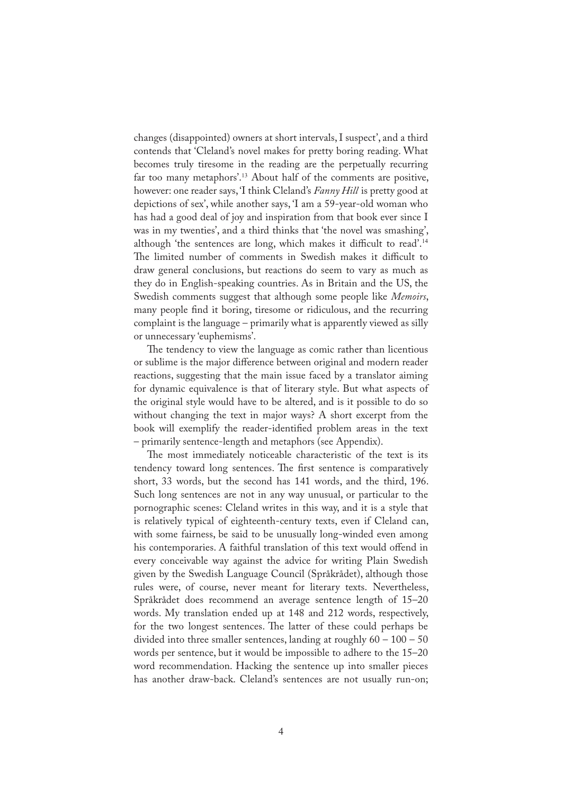changes (disappointed) owners at short intervals, I suspect', and a third contends that 'Cleland's novel makes for pretty boring reading. What becomes truly tiresome in the reading are the perpetually recurring far too many metaphors'.<sup>13</sup> About half of the comments are positive, however: one reader says, 'I think Cleland's *Fanny Hill* is pretty good at depictions of sex', while another says, 'I am a 59-year-old woman who has had a good deal of joy and inspiration from that book ever since I was in my twenties', and a third thinks that 'the novel was smashing', although 'the sentences are long, which makes it difficult to read'.<sup>14</sup> �e limited number of comments in Swedish makes it difficult to draw general conclusions, but reactions do seem to vary as much as they do in English-speaking countries. As in Britain and the US, the Swedish comments suggest that although some people like *Memoirs*, many people find it boring, tiresome or ridiculous, and the recurring complaint is the language – primarily what is apparently viewed as silly or unnecessary 'euphemisms'.

The tendency to view the language as comic rather than licentious or sublime is the major difference between original and modern reader reactions, suggesting that the main issue faced by a translator aiming for dynamic equivalence is that of literary style. But what aspects of the original style would have to be altered, and is it possible to do so without changing the text in major ways? A short excerpt from the book will exemplify the reader-identified problem areas in the text – primarily sentence-length and metaphors (see Appendix).

The most immediately noticeable characteristic of the text is its tendency toward long sentences. The first sentence is comparatively short, 33 words, but the second has 141 words, and the third, 196. Such long sentences are not in any way unusual, or particular to the pornographic scenes: Cleland writes in this way, and it is a style that is relatively typical of eighteenth-century texts, even if Cleland can, with some fairness, be said to be unusually long-winded even among his contemporaries. A faithful translation of this text would offend in every conceivable way against the advice for writing Plain Swedish given by the Swedish Language Council (Språkrådet), although those rules were, of course, never meant for literary texts. Nevertheless, Språkrådet does recommend an average sentence length of 15–20 words. My translation ended up at 148 and 212 words, respectively, for the two longest sentences. The latter of these could perhaps be divided into three smaller sentences, landing at roughly  $60 - 100 - 50$ words per sentence, but it would be impossible to adhere to the 15–20 word recommendation. Hacking the sentence up into smaller pieces has another draw-back. Cleland's sentences are not usually run-on;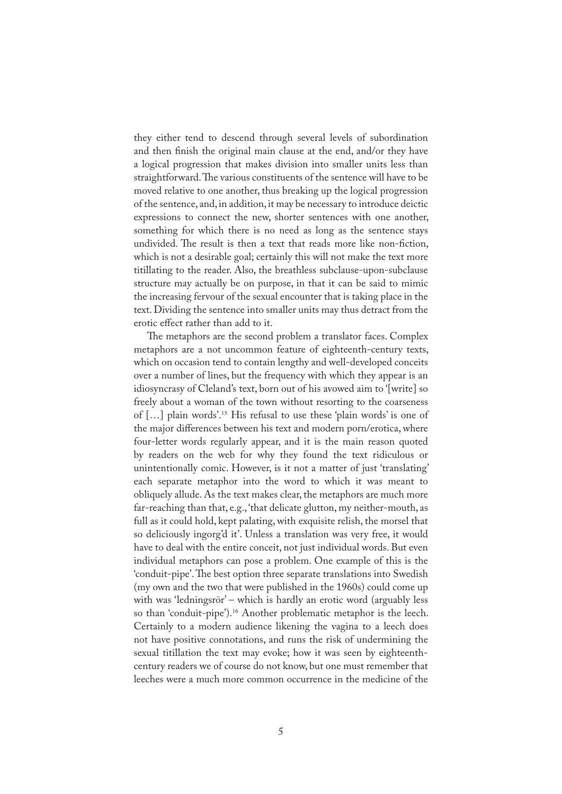they either tend to descend through several levels of subordination and then finish the original main clause at the end, and/or they have a logical progression that makes division into smaller units less than straightforward. The various constituents of the sentence will have to be moved relative to one another, thus breaking up the logical progression of the sentence, and, in addition, it may be necessary to introduce deictic expressions to connect the new, shorter sentences with one another, something for which there is no need as long as the sentence stays undivided. The result is then a text that reads more like non-fiction, which is not a desirable goal; certainly this will not make the text more titillating to the reader. Also, the breathless subclause-upon-subclause structure may actually be on purpose, in that it can be said to mimic the increasing fervour of the sexual encounter that is taking place in the text. Dividing the sentence into smaller units may thus detract from the erotic effect rather than add to it.

The metaphors are the second problem a translator faces. Complex metaphors are a not uncommon feature of eighteenth-century texts, which on occasion tend to contain lengthy and well-developed conceits over a number of lines, but the frequency with which they appear is an idiosyncrasy of Cleland's text, born out of his avowed aim to '[write] so freely about a woman of the town without resorting to the coarseness of […] plain words'.<sup>15</sup> His refusal to use these 'plain words' is one of the major differences between his text and modern porn/erotica, where four-letter words regularly appear, and it is the main reason quoted by readers on the web for why they found the text ridiculous or unintentionally comic. However, is it not a matter of just 'translating' each separate metaphor into the word to which it was meant to obliquely allude. As the text makes clear, the metaphors are much more far-reaching than that, e.g., 'that delicate glutton, my neither-mouth, as full as it could hold, kept palating, with exquisite relish, the morsel that so deliciously ingorg'd it'. Unless a translation was very free, it would have to deal with the entire conceit, not just individual words. But even individual metaphors can pose a problem. One example of this is the 'conduit-pipe'. The best option three separate translations into Swedish (my own and the two that were published in the 1960s) could come up with was 'ledningsrör' – which is hardly an erotic word (arguably less so than 'conduit-pipe').<sup>16</sup> Another problematic metaphor is the leech. Certainly to a modern audience likening the vagina to a leech does not have positive connotations, and runs the risk of undermining the sexual titillation the text may evoke; how it was seen by eighteenthcentury readers we of course do not know, but one must remember that leeches were a much more common occurrence in the medicine of the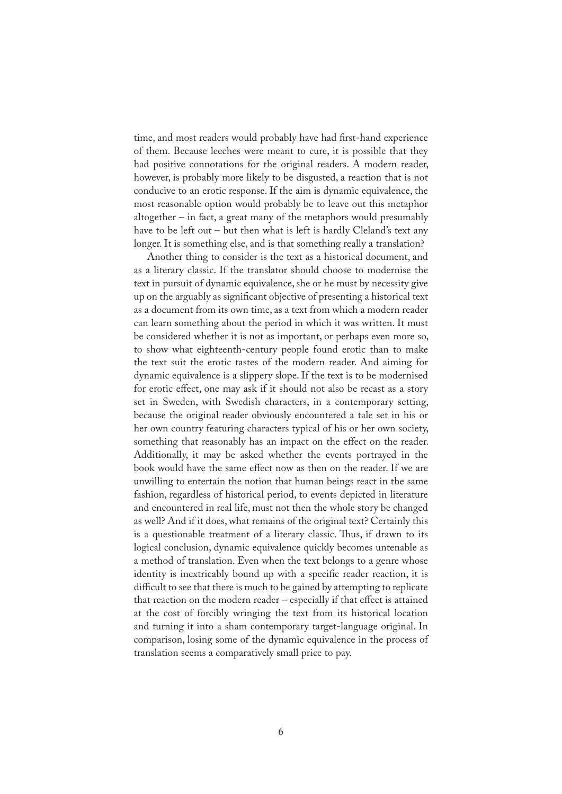time, and most readers would probably have had first-hand experience of them. Because leeches were meant to cure, it is possible that they had positive connotations for the original readers. A modern reader, however, is probably more likely to be disgusted, a reaction that is not conducive to an erotic response. If the aim is dynamic equivalence, the most reasonable option would probably be to leave out this metaphor altogether – in fact, a great many of the metaphors would presumably have to be left out – but then what is left is hardly Cleland's text any longer. It is something else, and is that something really a translation?

Another thing to consider is the text as a historical document, and as a literary classic. If the translator should choose to modernise the text in pursuit of dynamic equivalence, she or he must by necessity give up on the arguably as signi�cant objective of presenting a historical text as a document from its own time, as a text from which a modern reader can learn something about the period in which it was written. It must be considered whether it is not as important, or perhaps even more so, to show what eighteenth-century people found erotic than to make the text suit the erotic tastes of the modern reader. And aiming for dynamic equivalence is a slippery slope. If the text is to be modernised for erotic effect, one may ask if it should not also be recast as a story set in Sweden, with Swedish characters, in a contemporary setting, because the original reader obviously encountered a tale set in his or her own country featuring characters typical of his or her own society, something that reasonably has an impact on the effect on the reader. Additionally, it may be asked whether the events portrayed in the book would have the same effect now as then on the reader. If we are unwilling to entertain the notion that human beings react in the same fashion, regardless of historical period, to events depicted in literature and encountered in real life, must not then the whole story be changed as well? And if it does, what remains of the original text? Certainly this is a questionable treatment of a literary classic. Thus, if drawn to its logical conclusion, dynamic equivalence quickly becomes untenable as a method of translation. Even when the text belongs to a genre whose identity is inextricably bound up with a specific reader reaction, it is difficult to see that there is much to be gained by attempting to replicate that reaction on the modern reader – especially if that effect is attained at the cost of forcibly wringing the text from its historical location and turning it into a sham contemporary target-language original. In comparison, losing some of the dynamic equivalence in the process of translation seems a comparatively small price to pay.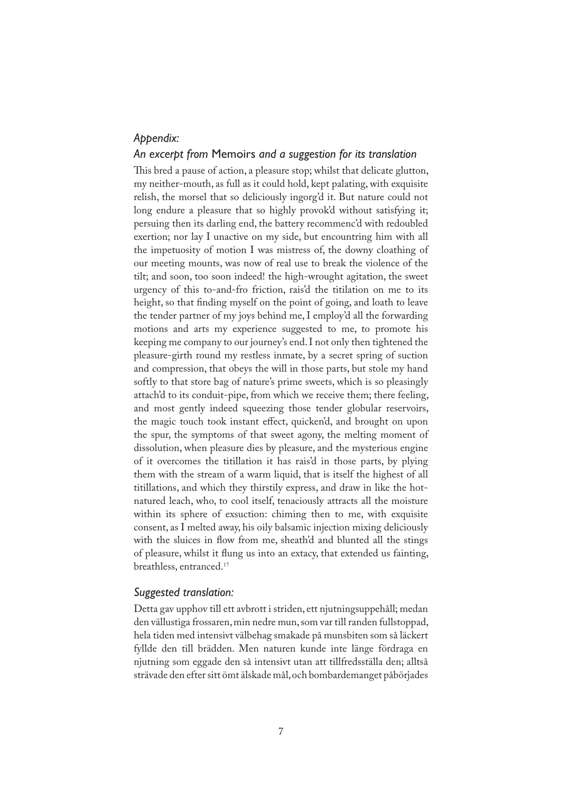### *Appendix:*

## *An excerpt from* Memoirs *and a suggestion for its translation*

This bred a pause of action, a pleasure stop; whilst that delicate glutton, my neither-mouth, as full as it could hold, kept palating, with exquisite relish, the morsel that so deliciously ingorg'd it. But nature could not long endure a pleasure that so highly provok'd without satisfying it; persuing then its darling end, the battery recommenc'd with redoubled exertion; nor lay I unactive on my side, but encountring him with all the impetuosity of motion I was mistress of, the downy cloathing of our meeting mounts, was now of real use to break the violence of the tilt; and soon, too soon indeed! the high-wrought agitation, the sweet urgency of this to-and-fro friction, rais'd the titilation on me to its height, so that finding myself on the point of going, and loath to leave the tender partner of my joys behind me, I employ'd all the forwarding motions and arts my experience suggested to me, to promote his keeping me company to our journey's end. I not only then tightened the pleasure-girth round my restless inmate, by a secret spring of suction and compression, that obeys the will in those parts, but stole my hand softly to that store bag of nature's prime sweets, which is so pleasingly attach'd to its conduit-pipe, from which we receive them; there feeling, and most gently indeed squeezing those tender globular reservoirs, the magic touch took instant effect, quicken'd, and brought on upon the spur, the symptoms of that sweet agony, the melting moment of dissolution, when pleasure dies by pleasure, and the mysterious engine of it overcomes the titillation it has rais'd in those parts, by plying them with the stream of a warm liquid, that is itself the highest of all titillations, and which they thirstily express, and draw in like the hotnatured leach, who, to cool itself, tenaciously attracts all the moisture within its sphere of exsuction: chiming then to me, with exquisite consent, as I melted away, his oily balsamic injection mixing deliciously with the sluices in flow from me, sheath'd and blunted all the stings of pleasure, whilst it �ung us into an extacy, that extended us fainting, breathless, entranced.<sup>17</sup>

#### *Suggested translation:*

Detta gav upphov till ett avbrott i striden, ett njutningsuppehåll; medan den vällustiga frossaren, min nedre mun, som var till randen fullstoppad, hela tiden med intensivt välbehag smakade på munsbiten som så läckert fyllde den till brädden. Men naturen kunde inte länge fördraga en njutning som eggade den så intensivt utan att tillfredsställa den; alltså strävade den efter sitt ömt älskade mål, och bombardemanget påbörjades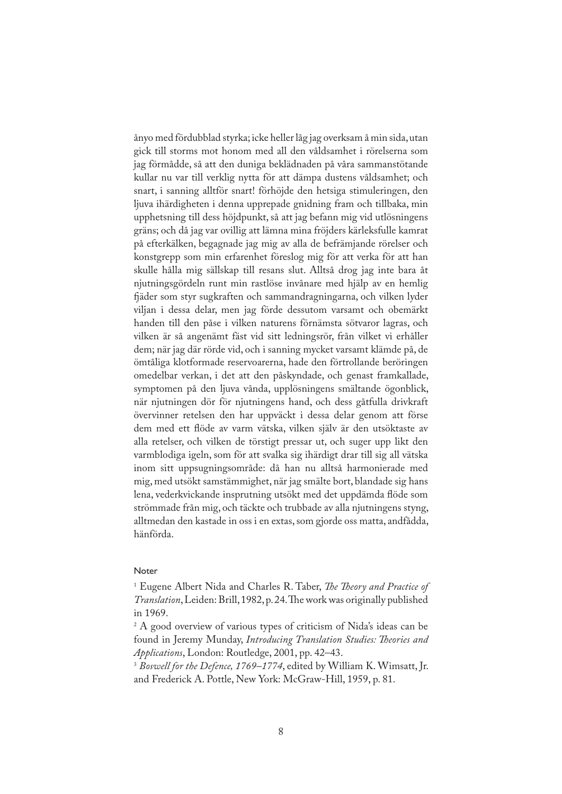ånyo med fördubblad styrka; icke heller låg jag overksam å min sida, utan gick till storms mot honom med all den våldsamhet i rörelserna som jag förmådde, så att den duniga beklädnaden på våra sammanstötande kullar nu var till verklig nytta för att dämpa dustens våldsamhet; och snart, i sanning alltför snart! förhöjde den hetsiga stimuleringen, den ljuva ihärdigheten i denna upprepade gnidning fram och tillbaka, min upphetsning till dess höjdpunkt, så att jag befann mig vid utlösningens gräns; och då jag var ovillig att lämna mina fröjders kärleksfulle kamrat på efterkälken, begagnade jag mig av alla de befrämjande rörelser och konstgrepp som min erfarenhet föreslog mig för att verka för att han skulle hålla mig sällskap till resans slut. Alltså drog jag inte bara åt njutningsgördeln runt min rastlöse invånare med hjälp av en hemlig �äder som styr sugkraften och sammandragningarna, och vilken lyder viljan i dessa delar, men jag förde dessutom varsamt och obemärkt handen till den påse i vilken naturens förnämsta sötvaror lagras, och vilken är så angenämt fäst vid sitt ledningsrör, från vilket vi erhåller dem; när jag där rörde vid, och i sanning mycket varsamt klämde på, de ömtåliga klotformade reservoarerna, hade den förtrollande beröringen omedelbar verkan, i det att den påskyndade, och genast framkallade, symptomen på den ljuva vånda, upplösningens smältande ögonblick, när njutningen dör för njutningens hand, och dess gåtfulla drivkraft övervinner retelsen den har uppväckt i dessa delar genom att förse dem med ett �öde av varm vätska, vilken själv är den utsöktaste av alla retelser, och vilken de törstigt pressar ut, och suger upp likt den varmblodiga igeln, som för att svalka sig ihärdigt drar till sig all vätska inom sitt uppsugningsområde: då han nu alltså harmonierade med mig, med utsökt samstämmighet, när jag smälte bort, blandade sig hans lena, vederkvickande insprutning utsökt med det uppdämda �öde som strömmade från mig, och täckte och trubbade av alla njutningens styng, alltmedan den kastade in oss i en extas, som gjorde oss matta, andfådda, hänförda.

#### Noter

<sup>1</sup> Eugene Albert Nida and Charles R. Taber, *The Theory and Practice of Translation*, Leiden: Brill, 1982, p. 24. The work was originally published in 1969.

2 A good overview of various types of criticism of Nida's ideas can be found in Jeremy Munday, *Introducing Translation Studies: Theories and Applications*, London: Routledge, 2001, pp. 42–43. 3 *Boswell for the Defence, 1769–1774*, edited by William K. Wimsatt, Jr.

and Frederick A. Pottle, New York: McGraw-Hill, 1959, p. 81.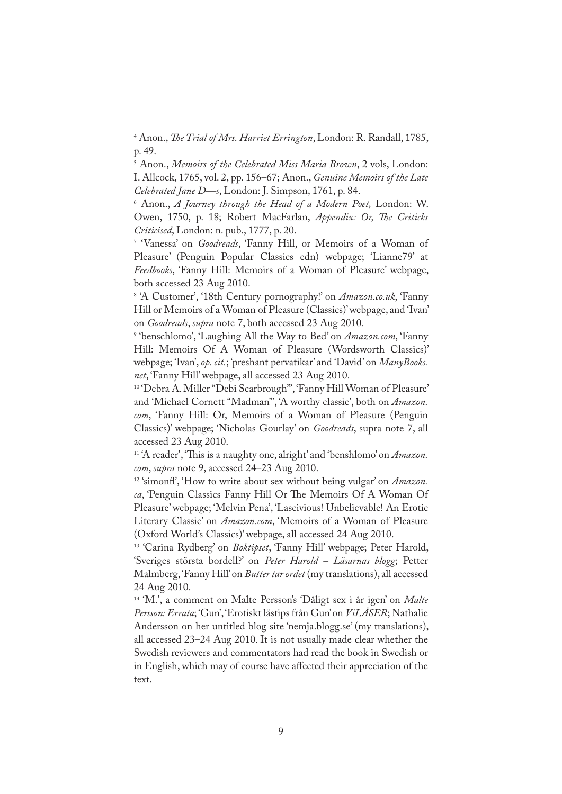4 Anon., *�e Trial of Mrs. Harriet Errington*, London: R. Randall, 1785, p. 49.

5 Anon., *Memoirs of the Celebrated Miss Maria Brown*, 2 vols, London: I. Allcock, 1765, vol. 2, pp. 156–67; Anon., *Genuine Memoirs of the Late Celebrated Jane D—s*, London: J. Simpson, 1761, p. 84.

6 Anon., *A Journey through the Head of a Modern Poet,* London: W. Owen, 1750, p. 18; Robert MacFarlan, *Appendix: Or, �e Criticks Criticised*, London: n. pub., 1777, p. 20.

7 'Vanessa' on *Goodreads*, 'Fanny Hill, or Memoirs of a Woman of Pleasure' (Penguin Popular Classics edn) webpage; 'Lianne79' at *Feedbooks*, 'Fanny Hill: Memoirs of a Woman of Pleasure' webpage, both accessed 23 Aug 2010.

8 'A Customer', '18th Century pornography!' on *Amazon.co.uk*, 'Fanny Hill or Memoirs of a Woman of Pleasure (Classics)' webpage, and 'Ivan' on *Goodreads*, *supra* note 7, both accessed 23 Aug 2010.

9 'benschlomo', 'Laughing All the Way to Bed' on *Amazon.com*, 'Fanny Hill: Memoirs Of A Woman of Pleasure (Wordsworth Classics)' webpage; 'Ivan', *op. cit.*; 'preshant pervatikar' and 'David' on *ManyBooks. net*, 'Fanny Hill' webpage, all accessed 23 Aug 2010.

10 'Debra A. Miller "Debi Scarbrough"', 'Fanny Hill Woman of Pleasure' and 'Michael Cornett "Madman"', 'A worthy classic', both on *Amazon. com*, 'Fanny Hill: Or, Memoirs of a Woman of Pleasure (Penguin Classics)' webpage; 'Nicholas Gourlay' on *Goodreads*, supra note 7, all accessed 23 Aug 2010.

<sup>11</sup> 'A reader', 'This is a naughty one, alright' and 'benshlomo' on *Amazon*. *com*, *supra* note 9, accessed 24–23 Aug 2010.

<sup>12</sup> 'simonfl', 'How to write about sex without being vulgar' on *Amazon*. *ca*, 'Penguin Classics Fanny Hill Or The Memoirs Of A Woman Of Pleasure' webpage; 'Melvin Pena', 'Lascivious! Unbelievable! An Erotic Literary Classic' on *Amazon.com*, 'Memoirs of a Woman of Pleasure (Oxford World's Classics)' webpage, all accessed 24 Aug 2010.

13 'Carina Rydberg' on *Boktipset*, 'Fanny Hill' webpage; Peter Harold, 'Sveriges största bordell?' on *Peter Harold – Läsarnas blogg*; Petter Malmberg, 'Fanny Hill' on *Butter tar ordet* (my translations), all accessed 24 Aug 2010.

14 'M.', a comment on Malte Persson's 'Dåligt sex i år igen' on *Malte Persson: Errata*; 'Gun', 'Erotiskt lästips från Gun' on *ViLÄSER*; Nathalie Andersson on her untitled blog site 'nemja.blogg.se' (my translations), all accessed 23–24 Aug 2010. It is not usually made clear whether the Swedish reviewers and commentators had read the book in Swedish or in English, which may of course have affected their appreciation of the text.